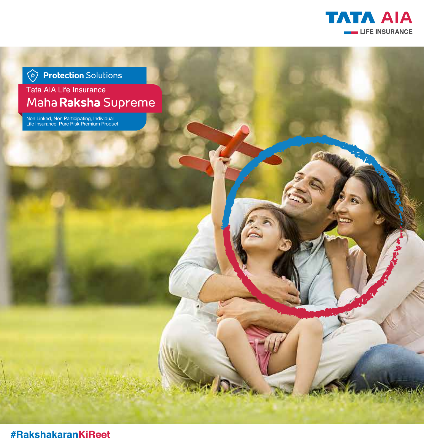

*<u>A</u>* Protection Solutions

Tata AIA Life Insurance Maha Raksha Supreme

Non Linked, Non Participating, Individual Life Insurance, Pure Risk Premium Product

**#RakshakaranKiReet**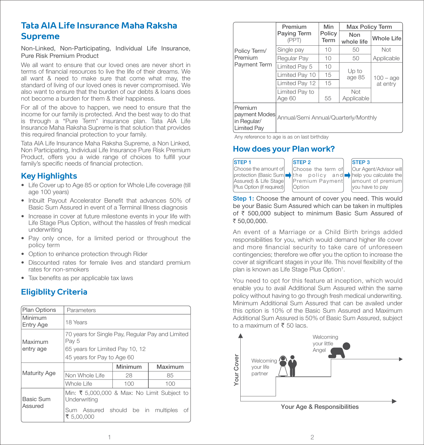# **Tata AIA Life Insurance Maha Raksha Supreme**

Non-Linked, Non-Participating, Individual Life Insurance, Pure Risk Premium Product

We all want to ensure that our loved ones are never short in terms of financial resources to live the life of their dreams. We all want & need to make sure that come what may, the standard of living of our loved ones is never compromised. We also want to ensure that the burden of our debts & loans does not become a burden for them & their happiness.

For all of the above to happen, we need to ensure that the income for our family is protected. And the best way to do that is through a "Pure Term" insurance plan. Tata AIA Life Insurance Maha Raksha Supreme is that solution that provides this required financial protection to your family.

Tata AIA Life Insurance Maha Raksha Supreme, a Non Linked, Non Participating, Individual Life Insurance Pure Risk Premium Product, offers you a wide range of choices to fulfill your family's specific needs of financial protection.

# **Key Highlights**

- Life Cover up to Age 85 or option for Whole Life coverage (till age 100 years)
- Inbuilt Payout Accelerator Benefit that advances 50% of Basic Sum Assured in event of a Terminal Illness diagnosis
- Increase in cover at future milestone events in your life with Life Stage Plus Option, without the hassles of fresh medical underwriting
- Pay only once, for a limited period or throughout the policy term
- Option to enhance protection through Rider
- Discounted rates for female lives and standard premium rates for non-smokers
- Tax benefits as per applicable tax laws

# **Eligiblity Criteria**

| Plan Options                | Parameters                                                                                                                 |                |         | ivili ill tulli Augillonal Sulli ASS<br>this option is 10% of the Bas  |            |  |
|-----------------------------|----------------------------------------------------------------------------------------------------------------------------|----------------|---------|------------------------------------------------------------------------|------------|--|
| Minimum<br><b>Entry Age</b> | 18 Years                                                                                                                   |                |         | Additional Sum Assured is 50°<br>to a maximum of $\bar{\tau}$ 50 lacs. |            |  |
| Maximum<br>entry age        | 70 years for Single Pay, Regular Pay and Limited<br>Pay 5<br>65 years for Limited Pay 10, 12<br>45 years for Pay to Age 60 |                |         |                                                                        | Welcoming  |  |
| <b>Maturity Age</b>         |                                                                                                                            | <b>Minimum</b> | Maximum | Cover                                                                  | your life  |  |
|                             | Non Whole Life                                                                                                             | 28             | 85      | Your                                                                   | partner    |  |
|                             | Whole Life                                                                                                                 | 100            | 100     |                                                                        |            |  |
| <b>Basic Sum</b><br>Assured | Min: ₹ 5,000,000 & Max: No Limit Subject to<br>Underwriting                                                                |                |         |                                                                        |            |  |
|                             | Sum Assured should be in multiples of<br>₹ 5,00,000                                                                        |                |         |                                                                        | Your Age & |  |
|                             |                                                                                                                            |                |         |                                                                        | 2          |  |

|                                                               | Premium                              | Min            | Max Policy Term   |                         |
|---------------------------------------------------------------|--------------------------------------|----------------|-------------------|-------------------------|
|                                                               | Paying Term<br>(PPT)                 | Policy<br>Term | Non<br>whole life | <b>Whole Life</b>       |
| Policy Term/                                                  | Single pay                           | 10             | 50                | <b>Not</b>              |
| Premium                                                       | Regular Pay                          | 10             | 50                | Applicable              |
| <b>Payment Term</b>                                           | Limited Pay 5                        | 10             |                   |                         |
|                                                               | Limited Pay 10                       | 15             | Up to<br>age 85   | $100 - age$<br>at entry |
|                                                               | Limited Pay 12                       | 15             |                   |                         |
|                                                               | Limited Pay to<br>Age 60             | 55             | Not<br>Applicable |                         |
| Premium<br>payment Modes<br>in Regular/<br><b>Limited Pay</b> | Annual/Semi Annual/Quarterly/Monthly |                |                   |                         |

Any reference to age is as on last birthday

# **How does your Plan work?**



**Step 1:** Choose the amount of cover you need. This would be your Basic Sum Assured which can be taken in multiples of r 500,000 subject to minimum Basic Sum Assured of ₹ 50,00,000.

An event of a Marriage or a Child Birth brings added responsibilities for you, which would demand higher life cover and more financial security to take care of unforeseen contingencies; therefore we offer you the option to increase the cover at significant stages in your life. This novel flexibility of the plan is known as Life Stage Plus Option<sup>1</sup>.

You need to opt for this feature at inception, which would enable you to avail Additional Sum Assured within the same policy without having to go through fresh medical underwriting. Minimum Additional Sum Assured that can be availed under this option is 10% of the Basic Sum Assured and Maximum Additional Sum Assured is 50% of Basic Sum Assured, subject to a maximum of  $\bar{\bar{\xi}}$  50 lacs.



Your Age & Responsibilities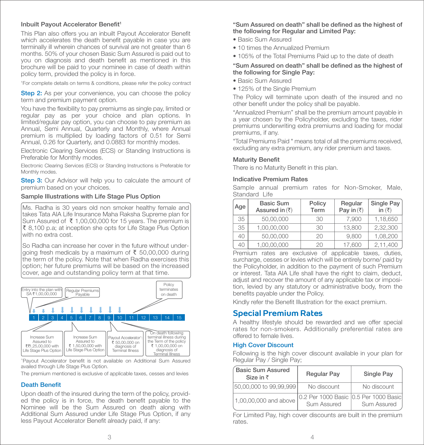### Inbuilt Payout Accelerator Benefit<sup>1</sup>

This Plan also offers you an inbuilt Payout Accelerator Benefit which accelerates the death benefit payable in case you are terminally ill wherein chances of survival are not greater than 6 months. 50% of your chosen Basic Sum Assured is paid out to you on diagnosis and death benefit as mentioned in this brochure will be paid to your nominee in case of death within policy term, provided the policy is in force.

1 For complete details on terms & conditions, please refer the policy contract

**Step 2:** As per your convenience, you can choose the policy term and premium payment option.

You have the flexibility to pay premiums as single pay, limited or regular pay as per your choice and plan options. In limited/regular pay option, you can choose to pay premium as Annual, Semi Annual, Quarterly and Monthly, where Annual premium is multiplied by loading factors of 0.51 for Semi Annual, 0.26 for Quarterly, and 0.0883 for monthly modes.

Electronic Clearing Services (ECS) or Standing Instructions is Preferable for Monthly modes.

Electronic Clearing Services (ECS) or Standing Instructions is Preferable for Monthly modes.

**Step 3:** Our Advisor will help you to calculate the amount of premium based on your choices.

#### Sample Illustrations with Life Stage Plus Option

Ms. Radha is 30 years old non smoker healthy female and takes Tata AIA Life Insurance Maha Raksha Supreme plan for Sum Assured of  $\bar{\xi}$  1,00,00,000 for 15 years. The premium is  $\bar{\xi}$  8,100 p.a; at inception she opts for Life Stage Plus Option with no extra cost.

So Radha can increase her cover in the future without underaoing fresh medicals by a maximum of ₹ 50,00,000 during the term of the policy. Note that when Radha exercises this option; her future premiums will be based on the increased cover, age and outstanding policy term at that time.



<sup>^</sup>Payout Accelerator benefit is not available on Additional Sum Assured availed through Life Stage Plus Option.

The premium mentioned is exclusive of applicable taxes, cesses and levies

# **Death Benefit**

Upon death of the insured during the term of the policy, provided the policy is in force, the death benefit payable to the Nominee will be the Sum Assured on death along with Additional Sum Assured under Life Stage Plus Option, if any less Payout Accelerator Benefit already paid, if any:

## "Sum Assured on death" shall be defined as the highest of the following for Regular and Limited Pay:

- Basic Sum Assured
- 10 times the Annualized Premium
- 105% of the Total Premiums Paid up to the date of death

### "Sum Assured on death" shall be defined as the highest of the following for Single Pay:

- Basic Sum Assured
- 125% of the Single Premium

The Policy will terminate upon death of the insured and no other benefit under the policy shall be payable.

"Annualized Premium" shall be the premium amount payable in a year chosen by the Policyholder, excluding the taxes, rider premiums underwriting extra premiums and loading for modal premiums, if any.

"Total Premiums Paid " means total of all the premiums received, excluding any extra premium, any rider premium and taxes.

#### **Maturity Benefit**

There is no Maturity Benefit in this plan.

#### Indicative Premium Rates

Sample annual premium rates for Non-Smoker, Male, Standard Life

| Age | <b>Basic Sum</b><br>Assured in $(\overline{\tau})$ | Policy<br>Term | Regular<br>Pay in $(\overline{\tau})$ | Single Pay<br>in $(\overline{\tau})$ |
|-----|----------------------------------------------------|----------------|---------------------------------------|--------------------------------------|
| 35  | 50,00,000                                          | 30             | 7.900                                 | 1,18,650                             |
| 35  | 1,00,00,000                                        | 30             | 13,800                                | 2,32,300                             |
| 40  | 50,00,000                                          | 20             | 9.800                                 | 1,08,200                             |
| 40  | 1,00,00,000                                        | 20             | 17,600                                | 2,11,400                             |

Premium rates are exclusive of applicable taxes, duties, surcharge, cesses or levies which will be entirely borne/ paid by the Policyholder, in addition to the payment of such Premium or interest. Tata AIA Life shall have the right to claim, deduct, adjust and recover the amount of any applicable tax or imposition, levied by any statutory or administrative body, from the benefits payable under the Policy.

Kindly refer the Benefit Illustration for the exact premium.

# **Special Premium Rates**

A healthy lifestyle should be rewarded and we offer special rates for non-smokers. Additionally preferential rates are offered to female lives.

#### High Cover Discount

Following is the high cover discount available in your plan for Regular Pay / Single Pay;

| <b>Basic Sum Assured</b><br>Size in $\bar{z}$ | <b>Regular Pay</b>                                      | Single Pay  |
|-----------------------------------------------|---------------------------------------------------------|-------------|
| 50,00,000 to 99,99,999                        | No discount                                             | No discount |
| 1,00,00,000 and above                         | 10.2 Per 1000 Basic 10.5 Per 1000 Basic1<br>Sum Assured | Sum Assured |

For Limited Pay, high cover discounts are built in the premium rates.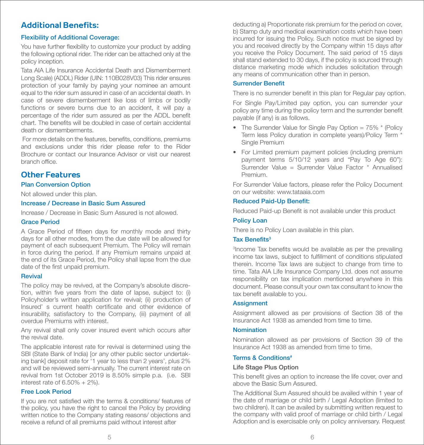# **Additional Benefits:**

### Flexibility of Additional Coverage:

You have further flexibility to customize your product by adding the following optional rider. The rider can be attached only at the policy inception.

Tata AIA Life Insurance Accidental Death and Dismemberment Long Scale) (ADDL) Rider (UIN: 110B028V03) This rider ensures protection of your family by paying your nominee an amount equal to the rider sum assured in case of an accidental death. In case of severe dismemberment like loss of limbs or bodily functions or severe burns due to an accident, it will pay a percentage of the rider sum assured as per the ADDL benefit chart. The benefits will be doubled in case of certain accidental death or dismemberments.

For more details on the features, benefits, conditions, premiums and exclusions under this rider please refer to the Rider Brochure or contact our Insurance Advisor or visit our nearest branch office

# **Other Features**

### Plan Conversion Option

Not allowed under this plan.

## Increase / Decrease in Basic Sum Assured

Increase / Decrease in Basic Sum Assured is not allowed.

#### Grace Period

A Grace Period of fifteen days for monthly mode and thirty days for all other modes, from the due date will be allowed for payment of each subsequent Premium. The Policy will remain in force during the period. If any Premium remains unpaid at the end of its Grace Period, the Policy shall lapse from the due date of the first unpaid premium.

#### Revival

The policy may be revived, at the Company's absolute discretion, within five years from the date of lapse, subject to: (i) Policyholder's written application for revival; (ii) production of Insured' s current health certicate and other evidence of insurability, satisfactory to the Company, (iii) payment of all overdue Premiums with interest.

Any revival shall only cover insured event which occurs after the revival date.

The applicable interest rate for revival is determined using the SBI (State Bank of India) [or any other public sector undertaking bank] deposit rate for '1 year to less than 2 years', plus 2% and will be reviewed semi-annually. The current interest rate on revival from 1st October 2019 is 8.50% simple p.a. (i.e. SBI interest rate of 6.50% + 2%).

#### Free Look Period

If you are not satisfied with the terms & conditions/ features of the policy, you have the right to cancel the Policy by providing written notice to the Company stating reasons/ objections and receive a refund of all premiums paid without interest after

deducting a) Proportionate risk premium for the period on cover, b) Stamp duty and medical examination costs which have been incurred for issuing the Policy. Such notice must be signed by you and received directly by the Company within 15 days after you receive the Policy Document. The said period of 15 days shall stand extended to 30 days, if the policy is sourced through distance marketing mode which includes solicitation through any means of communication other than in person.

#### Surrender Benefit

There is no surrender benefit in this plan for Regular pay option.

For Single Pay/Limited pay option, you can surrender your policy any time during the policy term and the surrender benefit payable (if any) is as follows.

- The Surrender Value for Single Pay Option = 75% \* (Policy Term less Policy duration in complete years)/Policy Term \* Single Premium
- For Limited premium payment policies (including premium payment terms 5/10/12 years and "Pay To Age 60"): Surrender Value = Surrender Value Factor \* Annualised Premium.

For Surrender Value factors, please refer the Policy Document on our website: www.tataaia.com

### Reduced Paid-Up Benefit:

Reduced Paid-up Benefit is not available under this product

### Policy Loan

There is no Policy Loan available in this plan.

### Tax Benefits<sup>3</sup>

<sup>3</sup> Income Tax benefits would be available as per the prevailing income tax laws, subject to fulfillment of conditions stipulated therein. Income Tax laws are subject to change from time to time. Tata AIA Life Insurance Company Ltd. does not assume responsibility on tax implication mentioned anywhere in this document. Please consult your own tax consultant to know the tax benefit available to you.

#### **Assignment**

Assignment allowed as per provisions of Section 38 of the Insurance Act 1938 as amended from time to time.

## Nomination

Nomination allowed as per provisions of Section 39 of the Insurance Act 1938 as amended from time to time.

## Terms & Conditions#

#### Life Stage Plus Option

This benefit gives an option to increase the life cover, over and above the Basic Sum Assured.

The Additional Sum Assured should be availed within 1 year of the date of marriage or child birth / Legal Adoption (limited to two children). It can be availed by submitting written request to the company with valid proof of marriage or child birth / Legal Adoption and is exercisable only on policy anniversary. Request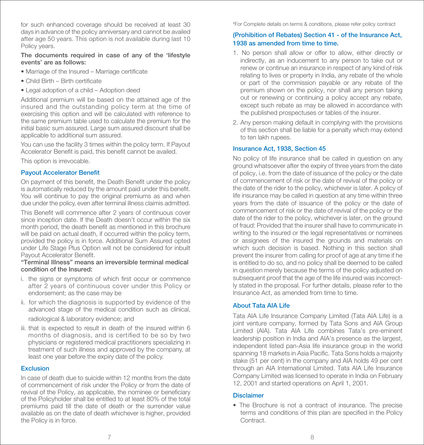for such enhanced coverage should be received at least 30 days in advance of the policy anniversary and cannot be availed after age 50 years. This option is not available during last 10 Policy years.

#### The documents required in case of any of the 'lifestyle events' are as follows:

- Marriage of the Insured Marriage certificate
- $\bullet$  Child Birth Birth certificate
- Legal adoption of a child Adoption deed

Additional premium will be based on the attained age of the insured and the outstanding policy term at the time of exercising this option and will be calculated with reference to the same premium table used to calculate the premium for the initial basic sum assured. Large sum assured discount shall be applicable to additional sum assured.

You can use the facility 3 times within the policy term. If Payout Accelerator Benefit is paid, this benefit cannot be availed.

This option is irrevocable.

# **Payout Accelerator Benefit**

On payment of this benefit, the Death Benefit under the policy is automatically reduced by the amount paid under this benefit. You will continue to pay the original premiums as and when due under the policy, even after terminal illness claimis admitted.

This Benefit will commence after 2 years of continuous cover since inception date. If the Death doesn't occur within the six month period, the death benefit as mentioned in this brochure will be paid on actual death, if occurred within the policy term, provided the policy is in force. Additional Sum Assured opted under Life Stage Plus Option will not be considered for inbuilt Payout Accelerator Benefit.

### "Terminal Illness" means an irreversible terminal medical condition of the Insured:

- i. the signs or symptoms of which first occur or commence after 2 years of continuous cover under this Policy or endorsement; as the case may be
- ii. for which the diagnosis is supported by evidence of the advanced stage of the medical condition such as clinical,

radiological & laboratory evidence; and

iii. that is expected to result in death of the insured within 6 months of diagnosis, and is certified to be so by two physicians or registered medical practitioners specializing in treatment of such illness and approved by the company, at least one year before the expiry date of the policy.

# **Exclusion**

In case of death due to suicide within 12 months from the date of commencement of risk under the Policy or from the date of revival of the Policy, as applicable, the nominee or beneficiary of the Policyholder shall be entitled to at least 80% of the total premiums paid till the date of death or the surrender value available as on the date of death whichever is higher, provided the Policy is in force.

# For Complete details on terms & conditions, please refer policy contract

# (Prohibition of Rebates) Section 41 - of the Insurance Act, 1938 as amended from time to time.

- 1. No person shall allow or offer to allow, either directly or indirectly, as an inducement to any person to take out or renew or continue an insurance in respect of any kind of risk relating to lives or property in India, any rebate of the whole or part of the commission payable or any rebate of the premium shown on the policy, nor shall any person taking out or renewing or continuing a policy accept any rebate, except such rebate as may be allowed in accordance with the published prospectuses or tables of the insurer.
- 2. Any person making default in complying with the provisions of this section shall be liable for a penalty which may extend to ten lakh rupees.

## Insurance Act, 1938, Section 45

No policy of life insurance shall be called in question on any ground whatsoever after the expiry of three years from the date of policy, i.e. from the date of issuance of the policy or the date of commencement of risk or the date of revival of the policy or the date of the rider to the policy, whichever is later. A policy of life insurance may be called in question at any time within three years from the date of issuance of the policy or the date of commencement of risk or the date of revival of the policy or the date of the rider to the policy, whichever is later, on the ground of fraud: Provided that the insurer shall have to communicate in writing to the insured or the legal representatives or nominees or assignees of the insured the grounds and materials on which such decision is based. Nothing in this section shall prevent the insurer from calling for proof of age at any time if he is entitled to do so, and no policy shall be deemed to be called in question merely because the terms of the policy adjusted on subsequent proof that the age of the life insured was incorrectly stated in the proposal. For further details, please refer to the Insurance Act, as amended from time to time.

# About Tata AIA Life

Tata AIA Life Insurance Company Limited (Tata AIA Life) is a joint venture company, formed by Tata Sons and AIA Group Limited (AIA). Tata AIA Life combines Tata's pre-eminent leadership position in India and AIA's presence as the largest, independent listed pan-Asia life insurance group in the world spanning 18 markets in Asia Pacific. Tata Sons holds a majority stake (51 per cent) in the company and AIA holds 49 per cent through an AIA International Limited. Tata AIA Life Insurance Company Limited was licensed to operate in India on February 12, 2001 and started operations on April 1, 2001.

# Disclaimer

• The Brochure is not a contract of insurance. The precise terms and conditions of this plan are specified in the Policy **Contract.**